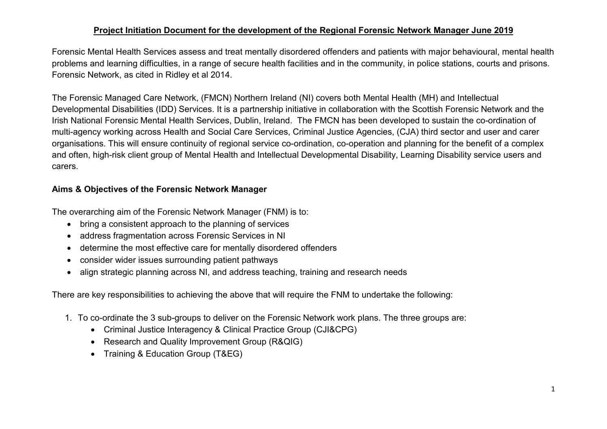## **Project Initiation Document for the development of the Regional Forensic Network Manager June 2019**

Forensic Mental Health Services assess and treat mentally disordered offenders and patients with major behavioural, mental health problems and learning difficulties, in a range of secure health facilities and in the community, in police stations, courts and prisons. Forensic Network, as cited in Ridley et al 2014.

The Forensic Managed Care Network, (FMCN) Northern Ireland (NI) covers both Mental Health (MH) and Intellectual Developmental Disabilities (IDD) Services. It is a partnership initiative in collaboration with the Scottish Forensic Network and the Irish National Forensic Mental Health Services, Dublin, Ireland. The FMCN has been developed to sustain the co-ordination of multi-agency working across Health and Social Care Services, Criminal Justice Agencies, (CJA) third sector and user and carer organisations. This will ensure continuity of regional service co-ordination, co-operation and planning for the benefit of a complex and often, high-risk client group of Mental Health and Intellectual Developmental Disability, Learning Disability service users and carers.

# **Aims & Objectives of the Forensic Network Manager**

The overarching aim of the Forensic Network Manager (FNM) is to:

- bring a consistent approach to the planning of services
- address fragmentation across Forensic Services in NI
- determine the most effective care for mentally disordered offenders
- consider wider issues surrounding patient pathways
- align strategic planning across NI, and address teaching, training and research needs

There are key responsibilities to achieving the above that will require the FNM to undertake the following:

- 1. To co-ordinate the 3 sub-groups to deliver on the Forensic Network work plans. The three groups are:
	- Criminal Justice Interagency & Clinical Practice Group (CJI&CPG)
	- Research and Quality Improvement Group (R&QIG)
	- Training & Education Group (T&EG)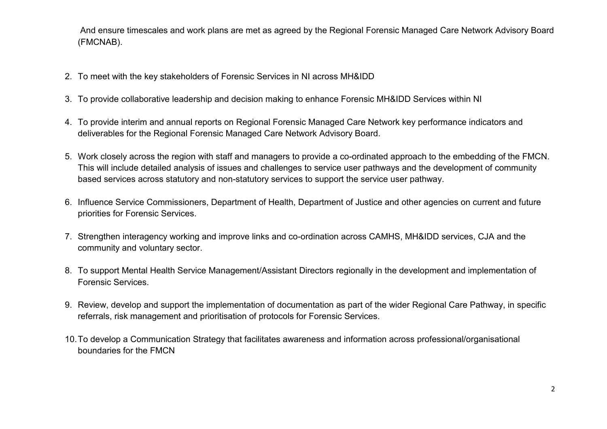And ensure timescales and work plans are met as agreed by the Regional Forensic Managed Care Network Advisory Board (FMCNAB).

- 2. To meet with the key stakeholders of Forensic Services in NI across MH&IDD
- 3. To provide collaborative leadership and decision making to enhance Forensic MH&IDD Services within NI
- 4. To provide interim and annual reports on Regional Forensic Managed Care Network key performance indicators and deliverables for the Regional Forensic Managed Care Network Advisory Board.
- 5. Work closely across the region with staff and managers to provide a co-ordinated approach to the embedding of the FMCN. This will include detailed analysis of issues and challenges to service user pathways and the development of community based services across statutory and non-statutory services to support the service user pathway.
- 6. Influence Service Commissioners, Department of Health, Department of Justice and other agencies on current and future priorities for Forensic Services.
- 7. Strengthen interagency working and improve links and co-ordination across CAMHS, MH&IDD services, CJA and the community and voluntary sector.
- 8. To support Mental Health Service Management/Assistant Directors regionally in the development and implementation of Forensic Services.
- 9. Review, develop and support the implementation of documentation as part of the wider Regional Care Pathway, in specific referrals, risk management and prioritisation of protocols for Forensic Services.
- 10.To develop a Communication Strategy that facilitates awareness and information across professional/organisational boundaries for the FMCN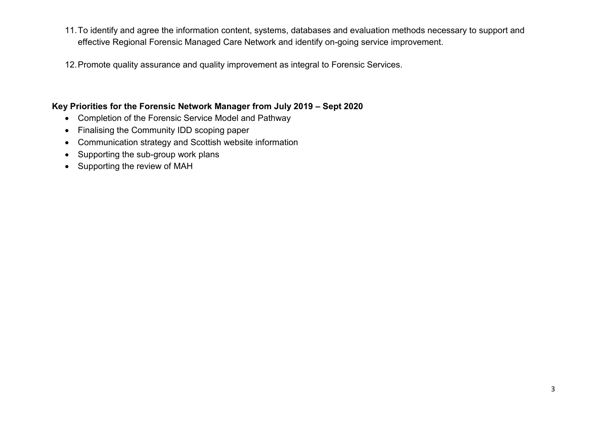- 11.To identify and agree the information content, systems, databases and evaluation methods necessary to support and effective Regional Forensic Managed Care Network and identify on-going service improvement.
- 12.Promote quality assurance and quality improvement as integral to Forensic Services.

## **Key Priorities for the Forensic Network Manager from July 2019 – Sept 2020**

- Completion of the Forensic Service Model and Pathway
- Finalising the Community IDD scoping paper
- Communication strategy and Scottish website information
- Supporting the sub-group work plans
- Supporting the review of MAH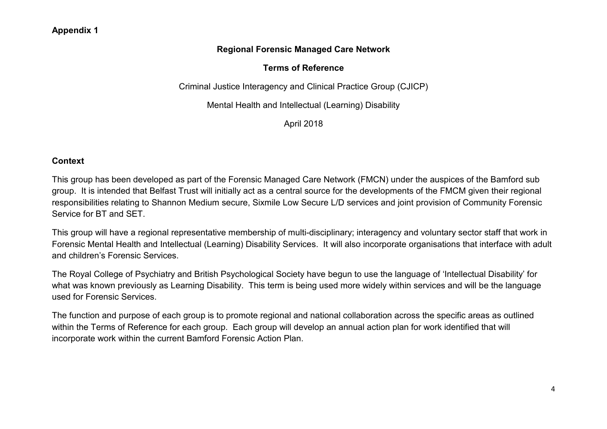# **Regional Forensic Managed Care Network**

# **Terms of Reference**

Criminal Justice Interagency and Clinical Practice Group (CJICP)

Mental Health and Intellectual (Learning) Disability

April 2018

## **Context**

This group has been developed as part of the Forensic Managed Care Network (FMCN) under the auspices of the Bamford sub group. It is intended that Belfast Trust will initially act as a central source for the developments of the FMCM given their regional responsibilities relating to Shannon Medium secure, Sixmile Low Secure L/D services and joint provision of Community Forensic Service for BT and SET.

This group will have a regional representative membership of multi-disciplinary; interagency and voluntary sector staff that work in Forensic Mental Health and Intellectual (Learning) Disability Services. It will also incorporate organisations that interface with adult and children's Forensic Services.

The Royal College of Psychiatry and British Psychological Society have begun to use the language of 'Intellectual Disability' for what was known previously as Learning Disability. This term is being used more widely within services and will be the language used for Forensic Services.

The function and purpose of each group is to promote regional and national collaboration across the specific areas as outlined within the Terms of Reference for each group. Each group will develop an annual action plan for work identified that will incorporate work within the current Bamford Forensic Action Plan.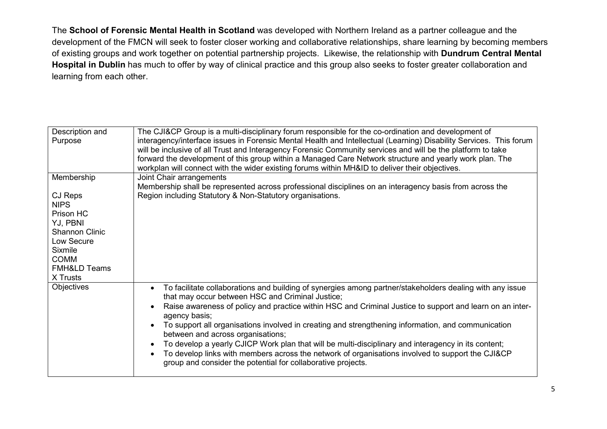The **School of Forensic Mental Health in Scotland** was developed with Northern Ireland as a partner colleague and the development of the FMCN will seek to foster closer working and collaborative relationships, share learning by becoming members of existing groups and work together on potential partnership projects. Likewise, the relationship with **Dundrum Central Mental Hospital in Dublin** has much to offer by way of clinical practice and this group also seeks to foster greater collaboration and learning from each other.

| Description and<br>Purpose                                                                                                                              | The CJI&CP Group is a multi-disciplinary forum responsible for the co-ordination and development of<br>interagency/interface issues in Forensic Mental Health and Intellectual (Learning) Disability Services. This forum<br>will be inclusive of all Trust and Interagency Forensic Community services and will be the platform to take<br>forward the development of this group within a Managed Care Network structure and yearly work plan. The<br>workplan will connect with the wider existing forums within MH&ID to deliver their objectives.                                                                                                                                                           |
|---------------------------------------------------------------------------------------------------------------------------------------------------------|-----------------------------------------------------------------------------------------------------------------------------------------------------------------------------------------------------------------------------------------------------------------------------------------------------------------------------------------------------------------------------------------------------------------------------------------------------------------------------------------------------------------------------------------------------------------------------------------------------------------------------------------------------------------------------------------------------------------|
| Membership                                                                                                                                              | Joint Chair arrangements                                                                                                                                                                                                                                                                                                                                                                                                                                                                                                                                                                                                                                                                                        |
| CJ Reps<br><b>NIPS</b><br>Prison HC<br>YJ, PBNI<br><b>Shannon Clinic</b><br>Low Secure<br>Sixmile<br><b>COMM</b><br><b>FMH&amp;LD Teams</b><br>X Trusts | Membership shall be represented across professional disciplines on an interagency basis from across the<br>Region including Statutory & Non-Statutory organisations.                                                                                                                                                                                                                                                                                                                                                                                                                                                                                                                                            |
| Objectives                                                                                                                                              | To facilitate collaborations and building of synergies among partner/stakeholders dealing with any issue<br>that may occur between HSC and Criminal Justice;<br>Raise awareness of policy and practice within HSC and Criminal Justice to support and learn on an inter-<br>agency basis;<br>To support all organisations involved in creating and strengthening information, and communication<br>between and across organisations;<br>To develop a yearly CJICP Work plan that will be multi-disciplinary and interagency in its content;<br>To develop links with members across the network of organisations involved to support the CJI&CP<br>group and consider the potential for collaborative projects. |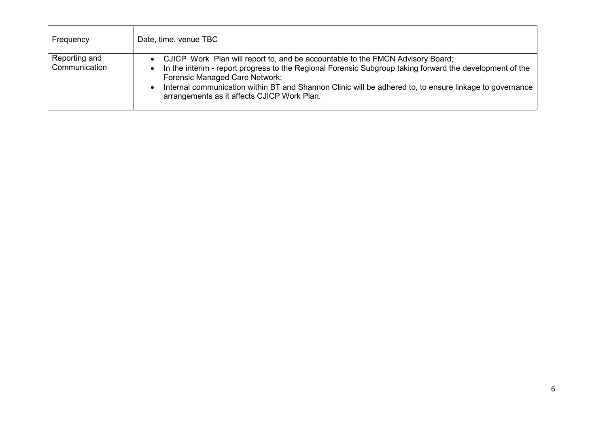| Frequency                      | Date, time, venue TBC                                                                                                                                                                                                                                                                                                                                                                  |
|--------------------------------|----------------------------------------------------------------------------------------------------------------------------------------------------------------------------------------------------------------------------------------------------------------------------------------------------------------------------------------------------------------------------------------|
| Reporting and<br>Communication | CJICP Work Plan will report to, and be accountable to the FMCN Advisory Board;<br>In the interim - report progress to the Regional Forensic Subgroup taking forward the development of the<br>Forensic Managed Care Network;<br>Internal communication within BT and Shannon Clinic will be adhered to, to ensure linkage to governance<br>arrangements as it affects CJICP Work Plan. |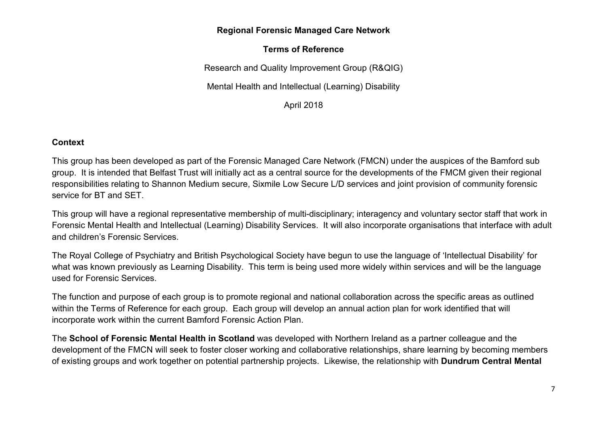#### **Regional Forensic Managed Care Network**

## **Terms of Reference**

Research and Quality Improvement Group (R&QIG)

Mental Health and Intellectual (Learning) Disability

April 2018

#### **Context**

This group has been developed as part of the Forensic Managed Care Network (FMCN) under the auspices of the Bamford sub group. It is intended that Belfast Trust will initially act as a central source for the developments of the FMCM given their regional responsibilities relating to Shannon Medium secure, Sixmile Low Secure L/D services and joint provision of community forensic service for BT and SET.

This group will have a regional representative membership of multi-disciplinary; interagency and voluntary sector staff that work in Forensic Mental Health and Intellectual (Learning) Disability Services. It will also incorporate organisations that interface with adult and children's Forensic Services.

The Royal College of Psychiatry and British Psychological Society have begun to use the language of 'Intellectual Disability' for what was known previously as Learning Disability. This term is being used more widely within services and will be the language used for Forensic Services.

The function and purpose of each group is to promote regional and national collaboration across the specific areas as outlined within the Terms of Reference for each group. Each group will develop an annual action plan for work identified that will incorporate work within the current Bamford Forensic Action Plan.

The **School of Forensic Mental Health in Scotland** was developed with Northern Ireland as a partner colleague and the development of the FMCN will seek to foster closer working and collaborative relationships, share learning by becoming members of existing groups and work together on potential partnership projects. Likewise, the relationship with **Dundrum Central Mental**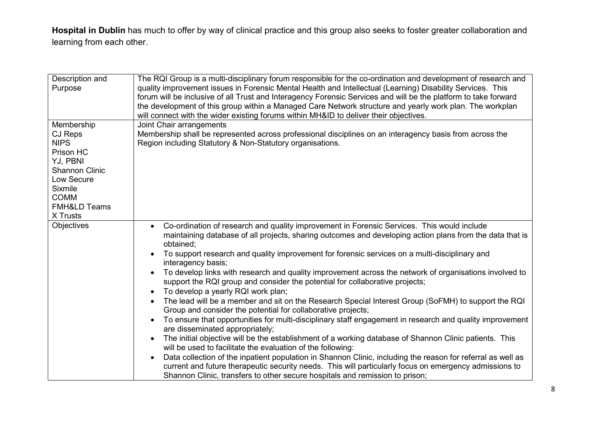**Hospital in Dublin** has much to offer by way of clinical practice and this group also seeks to foster greater collaboration and learning from each other.

| Description and<br>Purpose | The RQI Group is a multi-disciplinary forum responsible for the co-ordination and development of research and<br>quality improvement issues in Forensic Mental Health and Intellectual (Learning) Disability Services. This<br>forum will be inclusive of all Trust and Interagency Forensic Services and will be the platform to take forward<br>the development of this group within a Managed Care Network structure and yearly work plan. The workplan<br>will connect with the wider existing forums within MH&ID to deliver their objectives. |
|----------------------------|-----------------------------------------------------------------------------------------------------------------------------------------------------------------------------------------------------------------------------------------------------------------------------------------------------------------------------------------------------------------------------------------------------------------------------------------------------------------------------------------------------------------------------------------------------|
| Membership                 | Joint Chair arrangements                                                                                                                                                                                                                                                                                                                                                                                                                                                                                                                            |
| CJ Reps                    | Membership shall be represented across professional disciplines on an interagency basis from across the                                                                                                                                                                                                                                                                                                                                                                                                                                             |
| <b>NIPS</b>                | Region including Statutory & Non-Statutory organisations.                                                                                                                                                                                                                                                                                                                                                                                                                                                                                           |
| Prison HC                  |                                                                                                                                                                                                                                                                                                                                                                                                                                                                                                                                                     |
| YJ, PBNI                   |                                                                                                                                                                                                                                                                                                                                                                                                                                                                                                                                                     |
| <b>Shannon Clinic</b>      |                                                                                                                                                                                                                                                                                                                                                                                                                                                                                                                                                     |
| Low Secure                 |                                                                                                                                                                                                                                                                                                                                                                                                                                                                                                                                                     |
| <b>Sixmile</b>             |                                                                                                                                                                                                                                                                                                                                                                                                                                                                                                                                                     |
| <b>COMM</b>                |                                                                                                                                                                                                                                                                                                                                                                                                                                                                                                                                                     |
| <b>FMH&amp;LD Teams</b>    |                                                                                                                                                                                                                                                                                                                                                                                                                                                                                                                                                     |
| X Trusts                   |                                                                                                                                                                                                                                                                                                                                                                                                                                                                                                                                                     |
|                            |                                                                                                                                                                                                                                                                                                                                                                                                                                                                                                                                                     |
| <b>Objectives</b>          | Co-ordination of research and quality improvement in Forensic Services. This would include                                                                                                                                                                                                                                                                                                                                                                                                                                                          |
|                            | maintaining database of all projects, sharing outcomes and developing action plans from the data that is<br>obtained;                                                                                                                                                                                                                                                                                                                                                                                                                               |
|                            | To support research and quality improvement for forensic services on a multi-disciplinary and<br>interagency basis;                                                                                                                                                                                                                                                                                                                                                                                                                                 |
|                            | To develop links with research and quality improvement across the network of organisations involved to<br>support the RQI group and consider the potential for collaborative projects;                                                                                                                                                                                                                                                                                                                                                              |
|                            | To develop a yearly RQI work plan;                                                                                                                                                                                                                                                                                                                                                                                                                                                                                                                  |
|                            |                                                                                                                                                                                                                                                                                                                                                                                                                                                                                                                                                     |
|                            | The lead will be a member and sit on the Research Special Interest Group (SoFMH) to support the RQI                                                                                                                                                                                                                                                                                                                                                                                                                                                 |
|                            | Group and consider the potential for collaborative projects;                                                                                                                                                                                                                                                                                                                                                                                                                                                                                        |
|                            | To ensure that opportunities for multi-disciplinary staff engagement in research and quality improvement<br>are disseminated appropriately;                                                                                                                                                                                                                                                                                                                                                                                                         |
|                            | The initial objective will be the establishment of a working database of Shannon Clinic patients. This                                                                                                                                                                                                                                                                                                                                                                                                                                              |
|                            | will be used to facilitate the evaluation of the following:                                                                                                                                                                                                                                                                                                                                                                                                                                                                                         |
|                            | Data collection of the inpatient population in Shannon Clinic, including the reason for referral as well as                                                                                                                                                                                                                                                                                                                                                                                                                                         |
|                            | current and future therapeutic security needs. This will particularly focus on emergency admissions to                                                                                                                                                                                                                                                                                                                                                                                                                                              |
|                            | Shannon Clinic, transfers to other secure hospitals and remission to prison;                                                                                                                                                                                                                                                                                                                                                                                                                                                                        |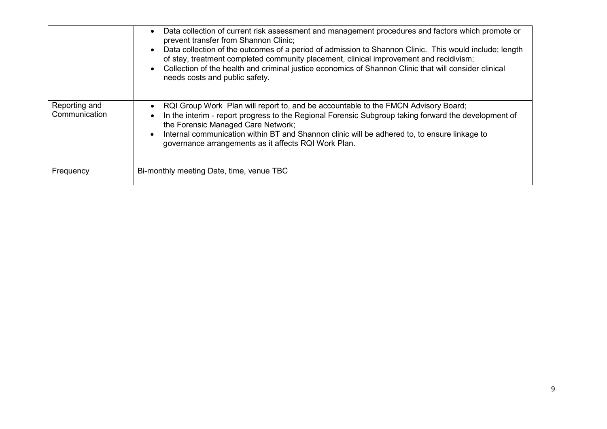|                                | Data collection of current risk assessment and management procedures and factors which promote or<br>$\bullet$<br>prevent transfer from Shannon Clinic;<br>Data collection of the outcomes of a period of admission to Shannon Clinic. This would include; length<br>of stay, treatment completed community placement, clinical improvement and recidivism;<br>Collection of the health and criminal justice economics of Shannon Clinic that will consider clinical<br>needs costs and public safety. |
|--------------------------------|--------------------------------------------------------------------------------------------------------------------------------------------------------------------------------------------------------------------------------------------------------------------------------------------------------------------------------------------------------------------------------------------------------------------------------------------------------------------------------------------------------|
| Reporting and<br>Communication | RQI Group Work Plan will report to, and be accountable to the FMCN Advisory Board;<br>In the interim - report progress to the Regional Forensic Subgroup taking forward the development of<br>the Forensic Managed Care Network;<br>Internal communication within BT and Shannon clinic will be adhered to, to ensure linkage to<br>governance arrangements as it affects RQI Work Plan.                                                                                                               |
| Frequency                      | Bi-monthly meeting Date, time, venue TBC                                                                                                                                                                                                                                                                                                                                                                                                                                                               |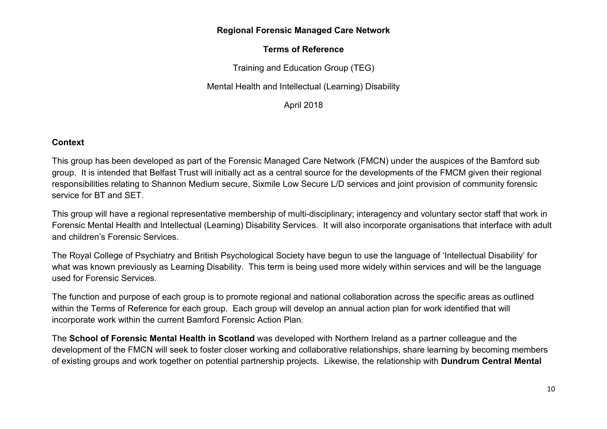#### **Regional Forensic Managed Care Network**

# **Terms of Reference**

Training and Education Group (TEG)

Mental Health and Intellectual (Learning) Disability

April 2018

#### **Context**

This group has been developed as part of the Forensic Managed Care Network (FMCN) under the auspices of the Bamford sub group. It is intended that Belfast Trust will initially act as a central source for the developments of the FMCM given their regional responsibilities relating to Shannon Medium secure, Sixmile Low Secure L/D services and joint provision of community forensic service for BT and SET.

This group will have a regional representative membership of multi-disciplinary; interagency and voluntary sector staff that work in Forensic Mental Health and Intellectual (Learning) Disability Services. It will also incorporate organisations that interface with adult and children's Forensic Services.

The Royal College of Psychiatry and British Psychological Society have begun to use the language of 'Intellectual Disability' for what was known previously as Learning Disability. This term is being used more widely within services and will be the language used for Forensic Services.

The function and purpose of each group is to promote regional and national collaboration across the specific areas as outlined within the Terms of Reference for each group. Each group will develop an annual action plan for work identified that will incorporate work within the current Bamford Forensic Action Plan.

The **School of Forensic Mental Health in Scotland** was developed with Northern Ireland as a partner colleague and the development of the FMCN will seek to foster closer working and collaborative relationships, share learning by becoming members of existing groups and work together on potential partnership projects. Likewise, the relationship with **Dundrum Central Mental**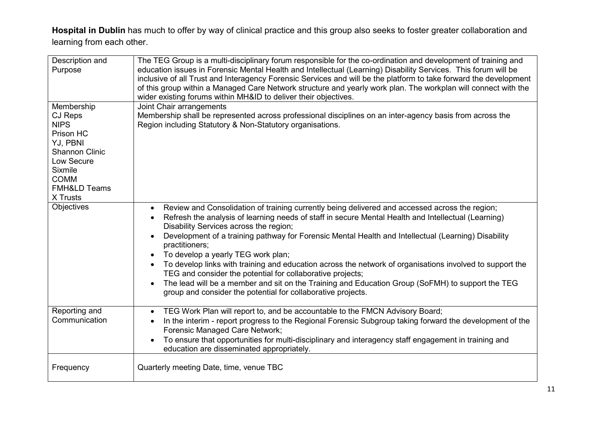**Hospital in Dublin** has much to offer by way of clinical practice and this group also seeks to foster greater collaboration and learning from each other.

| Description and         | The TEG Group is a multi-disciplinary forum responsible for the co-ordination and development of training and     |
|-------------------------|-------------------------------------------------------------------------------------------------------------------|
| Purpose                 | education issues in Forensic Mental Health and Intellectual (Learning) Disability Services. This forum will be    |
|                         | inclusive of all Trust and Interagency Forensic Services and will be the platform to take forward the development |
|                         | of this group within a Managed Care Network structure and yearly work plan. The workplan will connect with the    |
|                         | wider existing forums within MH&ID to deliver their objectives.                                                   |
| Membership              | Joint Chair arrangements                                                                                          |
| CJ Reps                 | Membership shall be represented across professional disciplines on an inter-agency basis from across the          |
| <b>NIPS</b>             | Region including Statutory & Non-Statutory organisations.                                                         |
| Prison HC               |                                                                                                                   |
| YJ, PBNI                |                                                                                                                   |
| <b>Shannon Clinic</b>   |                                                                                                                   |
| Low Secure              |                                                                                                                   |
| <b>Sixmile</b>          |                                                                                                                   |
| <b>COMM</b>             |                                                                                                                   |
| <b>FMH&amp;LD Teams</b> |                                                                                                                   |
| X Trusts                |                                                                                                                   |
| Objectives              | Review and Consolidation of training currently being delivered and accessed across the region;                    |
|                         | Refresh the analysis of learning needs of staff in secure Mental Health and Intellectual (Learning)               |
|                         | Disability Services across the region;                                                                            |
|                         | Development of a training pathway for Forensic Mental Health and Intellectual (Learning) Disability               |
|                         | practitioners;                                                                                                    |
|                         | To develop a yearly TEG work plan;                                                                                |
|                         | To develop links with training and education across the network of organisations involved to support the          |
|                         | TEG and consider the potential for collaborative projects;                                                        |
|                         | The lead will be a member and sit on the Training and Education Group (SoFMH) to support the TEG                  |
|                         | group and consider the potential for collaborative projects.                                                      |
|                         |                                                                                                                   |
| Reporting and           | TEG Work Plan will report to, and be accountable to the FMCN Advisory Board;                                      |
| Communication           | In the interim - report progress to the Regional Forensic Subgroup taking forward the development of the          |
|                         | Forensic Managed Care Network;                                                                                    |
|                         | To ensure that opportunities for multi-disciplinary and interagency staff engagement in training and              |
|                         | education are disseminated appropriately.                                                                         |
|                         |                                                                                                                   |
| Frequency               | Quarterly meeting Date, time, venue TBC                                                                           |
|                         |                                                                                                                   |